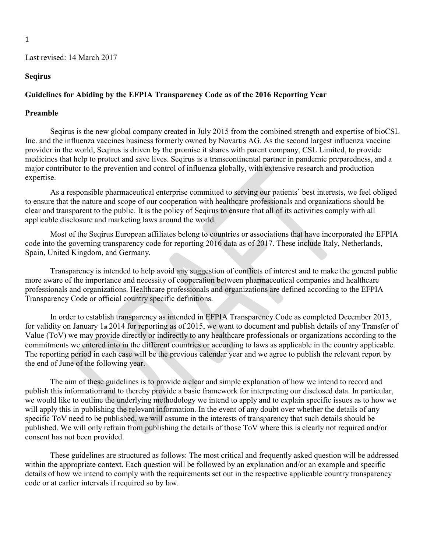### Seqirus

### Guidelines for Abiding by the EFPIA Transparency Code as of the 2016 Reporting Year

### Preamble

Seqirus is the new global company created in July 2015 from the combined strength and expertise of bioCSL Inc. and the influenza vaccines business formerly owned by Novartis AG. As the second largest influenza vaccine provider in the world, Seqirus is driven by the promise it shares with parent company, CSL Limited, to provide medicines that help to protect and save lives. Seqirus is a transcontinental partner in pandemic preparedness, and a major contributor to the prevention and control of influenza globally, with extensive research and production expertise.

As a responsible pharmaceutical enterprise committed to serving our patients' best interests, we feel obliged to ensure that the nature and scope of our cooperation with healthcare professionals and organizations should be clear and transparent to the public. It is the policy of Seqirus to ensure that all of its activities comply with all applicable disclosure and marketing laws around the world.

Most of the Seqirus European affiliates belong to countries or associations that have incorporated the EFPIA code into the governing transparency code for reporting 2016 data as of 2017. These include Italy, Netherlands, Spain, United Kingdom, and Germany.

Transparency is intended to help avoid any suggestion of conflicts of interest and to make the general public more aware of the importance and necessity of cooperation between pharmaceutical companies and healthcare professionals and organizations. Healthcare professionals and organizations are defined according to the EFPIA Transparency Code or official country specific definitions.

In order to establish transparency as intended in EFPIA Transparency Code as completed December 2013, for validity on January 1st 2014 for reporting as of 2015, we want to document and publish details of any Transfer of Value (ToV) we may provide directly or indirectly to any healthcare professionals or organizations according to the commitments we entered into in the different countries or according to laws as applicable in the country applicable. The reporting period in each case will be the previous calendar year and we agree to publish the relevant report by the end of June of the following year.

The aim of these guidelines is to provide a clear and simple explanation of how we intend to record and publish this information and to thereby provide a basic framework for interpreting our disclosed data. In particular, we would like to outline the underlying methodology we intend to apply and to explain specific issues as to how we will apply this in publishing the relevant information. In the event of any doubt over whether the details of any specific ToV need to be published, we will assume in the interests of transparency that such details should be published. We will only refrain from publishing the details of those ToV where this is clearly not required and/or consent has not been provided.

These guidelines are structured as follows: The most critical and frequently asked question will be addressed within the appropriate context. Each question will be followed by an explanation and/or an example and specific details of how we intend to comply with the requirements set out in the respective applicable country transparency code or at earlier intervals if required so by law.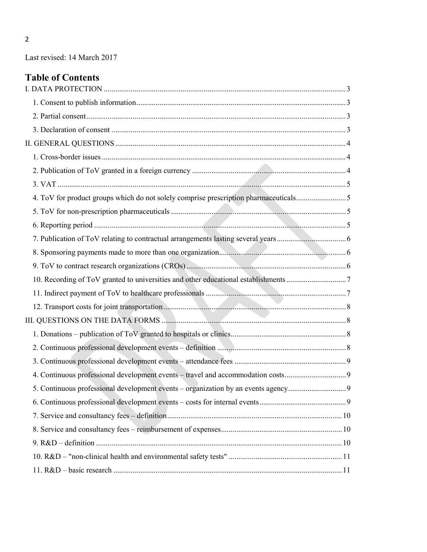# Table of Contents

| 4. ToV for product groups which do not solely comprise prescription pharmaceuticals5 |  |
|--------------------------------------------------------------------------------------|--|
|                                                                                      |  |
|                                                                                      |  |
|                                                                                      |  |
|                                                                                      |  |
|                                                                                      |  |
| 10. Recording of ToV granted to universities and other educational establishments 7  |  |
|                                                                                      |  |
|                                                                                      |  |
|                                                                                      |  |
|                                                                                      |  |
|                                                                                      |  |
|                                                                                      |  |
| 4. Continuous professional development events - travel and accommodation costs       |  |
| 5. Continuous professional development events – organization by an events agency     |  |
|                                                                                      |  |
|                                                                                      |  |
|                                                                                      |  |
|                                                                                      |  |
|                                                                                      |  |
|                                                                                      |  |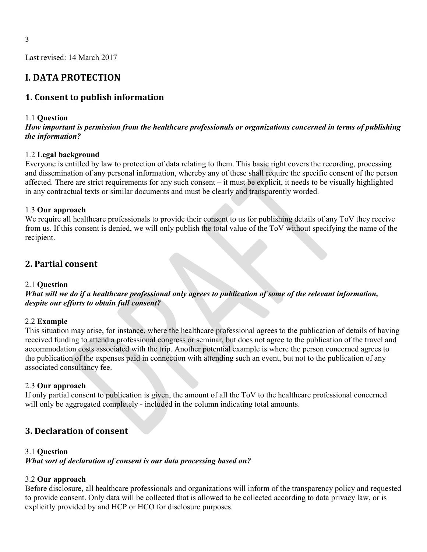# I. DATA PROTECTION

### 1. Consent to publish information

#### 1.1 Question

### How important is permission from the healthcare professionals or organizations concerned in terms of publishing the information?

### 1.2 Legal background

Everyone is entitled by law to protection of data relating to them. This basic right covers the recording, processing and dissemination of any personal information, whereby any of these shall require the specific consent of the person affected. There are strict requirements for any such consent – it must be explicit, it needs to be visually highlighted in any contractual texts or similar documents and must be clearly and transparently worded.

#### 1.3 Our approach

We require all healthcare professionals to provide their consent to us for publishing details of any ToV they receive from us. If this consent is denied, we will only publish the total value of the ToV without specifying the name of the recipient.

### 2. Partial consent

#### 2.1 Question

What will we do if a healthcare professional only agrees to publication of some of the relevant information, despite our efforts to obtain full consent?

#### 2.2 Example

This situation may arise, for instance, where the healthcare professional agrees to the publication of details of having received funding to attend a professional congress or seminar, but does not agree to the publication of the travel and accommodation costs associated with the trip. Another potential example is where the person concerned agrees to the publication of the expenses paid in connection with attending such an event, but not to the publication of any associated consultancy fee.

#### 2.3 Our approach

If only partial consent to publication is given, the amount of all the ToV to the healthcare professional concerned will only be aggregated completely - included in the column indicating total amounts.

## 3. Declaration of consent

#### 3.1 Question

What sort of declaration of consent is our data processing based on?

### 3.2 Our approach

Before disclosure, all healthcare professionals and organizations will inform of the transparency policy and requested to provide consent. Only data will be collected that is allowed to be collected according to data privacy law, or is explicitly provided by and HCP or HCO for disclosure purposes.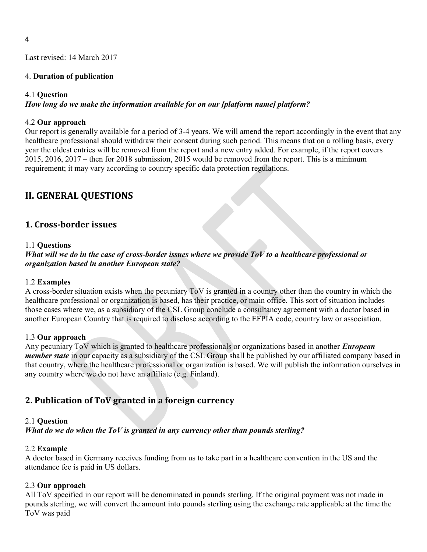### 4. Duration of publication

### 4.1 Question

How long do we make the information available for on our [platform name] platform?

### 4.2 Our approach

Our report is generally available for a period of 3-4 years. We will amend the report accordingly in the event that any healthcare professional should withdraw their consent during such period. This means that on a rolling basis, every year the oldest entries will be removed from the report and a new entry added. For example, if the report covers 2015, 2016, 2017 – then for 2018 submission, 2015 would be removed from the report. This is a minimum requirement; it may vary according to country specific data protection regulations.

# II. GENERAL QUESTIONS

## 1. Cross-border issues

### 1.1 Questions

What will we do in the case of cross-border issues where we provide  $\overline{ToV}$  to a healthcare professional or organization based in another European state?

### 1.2 Examples

A cross-border situation exists when the pecuniary ToV is granted in a country other than the country in which the healthcare professional or organization is based, has their practice, or main office. This sort of situation includes those cases where we, as a subsidiary of the CSL Group conclude a consultancy agreement with a doctor based in another European Country that is required to disclose according to the EFPIA code, country law or association.

### 1.3 Our approach

Any pecuniary ToV which is granted to healthcare professionals or organizations based in another *European* member state in our capacity as a subsidiary of the CSL Group shall be published by our affiliated company based in that country, where the healthcare professional or organization is based. We will publish the information ourselves in any country where we do not have an affiliate (e.g. Finland).

# 2. Publication of ToV granted in a foreign currency

### 2.1 Question

What do we do when the ToV is granted in any currency other than pounds sterling?

### 2.2 Example

A doctor based in Germany receives funding from us to take part in a healthcare convention in the US and the attendance fee is paid in US dollars.

### 2.3 Our approach

All ToV specified in our report will be denominated in pounds sterling. If the original payment was not made in pounds sterling, we will convert the amount into pounds sterling using the exchange rate applicable at the time the ToV was paid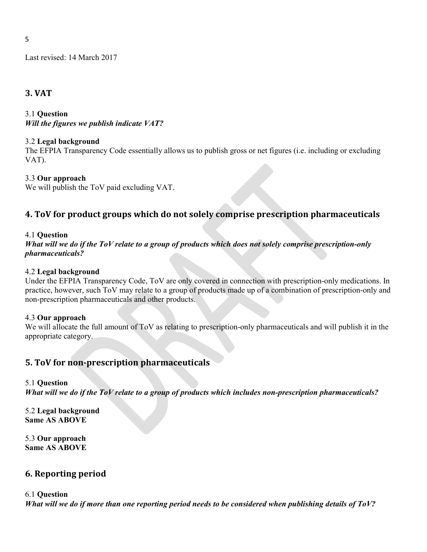## 3. VAT

### 3.1 Question Will the figures we publish indicate VAT?

### 3.2 Legal background

The EFPIA Transparency Code essentially allows us to publish gross or net figures (i.e. including or excluding VAT).

### 3.3 Our approach

We will publish the ToV paid excluding VAT.

# 4. ToV for product groups which do not solely comprise prescription pharmaceuticals

### 4.1 Question

What will we do if the ToV relate to a group of products which does not solely comprise prescription-only pharmaceuticals?

### 4.2 Legal background

Under the EFPIA Transparency Code, ToV are only covered in connection with prescription-only medications. In practice, however, such ToV may relate to a group of products made up of a combination of prescription-only and non-prescription pharmaceuticals and other products.

### 4.3 Our approach

We will allocate the full amount of ToV as relating to prescription-only pharmaceuticals and will publish it in the appropriate category.

# 5. ToV for non-prescription pharmaceuticals

### 5.1 Question

What will we do if the ToV relate to a group of products which includes non-prescription pharmaceuticals?

5.2 Legal background Same AS ABOVE

5.3 Our approach Same AS ABOVE

### 6. Reporting period

### 6.1 Question

What will we do if more than one reporting period needs to be considered when publishing details of ToV?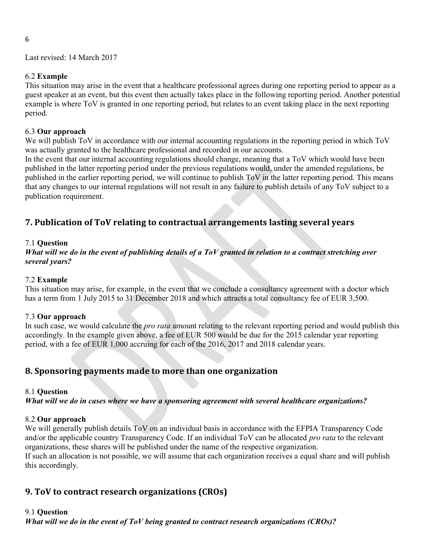### 6.2 Example

This situation may arise in the event that a healthcare professional agrees during one reporting period to appear as a guest speaker at an event, but this event then actually takes place in the following reporting period. Another potential example is where ToV is granted in one reporting period, but relates to an event taking place in the next reporting period.

### 6.3 Our approach

We will publish ToV in accordance with our internal accounting regulations in the reporting period in which ToV was actually granted to the healthcare professional and recorded in our accounts.

In the event that our internal accounting regulations should change, meaning that a ToV which would have been published in the latter reporting period under the previous regulations would, under the amended regulations, be published in the earlier reporting period, we will continue to publish ToV in the latter reporting period. This means that any changes to our internal regulations will not result in any failure to publish details of any ToV subject to a publication requirement.

# 7. Publication of ToV relating to contractual arrangements lasting several years

### 7.1 Question

What will we do in the event of publishing details of a ToV granted in relation to a contract stretching over several years?

### 7.2 Example

This situation may arise, for example, in the event that we conclude a consultancy agreement with a doctor which has a term from 1 July 2015 to 31 December 2018 and which attracts a total consultancy fee of EUR 3,500.

### 7.3 Our approach

In such case, we would calculate the *pro rata* amount relating to the relevant reporting period and would publish this accordingly. In the example given above, a fee of EUR 500 would be due for the 2015 calendar year reporting period, with a fee of EUR 1,000 accruing for each of the 2016, 2017 and 2018 calendar years.

# 8. Sponsoring payments made to more than one organization

### 8.1 Question

What will we do in cases where we have a sponsoring agreement with several healthcare organizations?

### 8.2 Our approach

We will generally publish details ToV on an individual basis in accordance with the EFPIA Transparency Code and/or the applicable country Transparency Code. If an individual ToV can be allocated *pro rata* to the relevant organizations, these shares will be published under the name of the respective organization. If such an allocation is not possible, we will assume that each organization receives a equal share and will publish this accordingly.

### 9. ToV to contract research organizations (CROs)

### 9.1 Question

What will we do in the event of ToV being granted to contract research organizations (CROs)?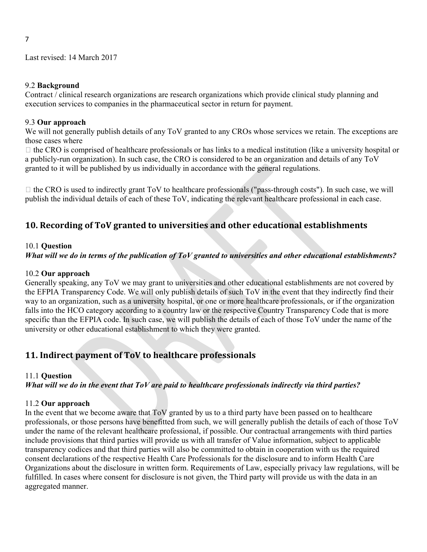### 9.2 Background

7

Contract / clinical research organizations are research organizations which provide clinical study planning and execution services to companies in the pharmaceutical sector in return for payment.

### 9.3 Our approach

We will not generally publish details of any ToV granted to any CROs whose services we retain. The exceptions are those cases where

 $\Box$  the CRO is comprised of healthcare professionals or has links to a medical institution (like a university hospital or a publicly-run organization). In such case, the CRO is considered to be an organization and details of any ToV granted to it will be published by us individually in accordance with the general regulations.

 $\Box$  the CRO is used to indirectly grant ToV to healthcare professionals ("pass-through costs"). In such case, we will publish the individual details of each of these ToV, indicating the relevant healthcare professional in each case.

# 10. Recording of ToV granted to universities and other educational establishments

### 10.1 Question

## What will we do in terms of the publication of ToV granted to universities and other educational establishments?

### 10.2 Our approach

Generally speaking, any ToV we may grant to universities and other educational establishments are not covered by the EFPIA Transparency Code. We will only publish details of such ToV in the event that they indirectly find their way to an organization, such as a university hospital, or one or more healthcare professionals, or if the organization falls into the HCO category according to a country law or the respective Country Transparency Code that is more specific than the EFPIA code. In such case, we will publish the details of each of those ToV under the name of the university or other educational establishment to which they were granted.

# 11. Indirect payment of ToV to healthcare professionals

### 11.1 Question

### What will we do in the event that ToV are paid to healthcare professionals indirectly via third parties?

### 11.2 Our approach

In the event that we become aware that  $ToV$  granted by us to a third party have been passed on to healthcare professionals, or those persons have benefitted from such, we will generally publish the details of each of those ToV under the name of the relevant healthcare professional, if possible. Our contractual arrangements with third parties include provisions that third parties will provide us with all transfer of Value information, subject to applicable transparency codices and that third parties will also be committed to obtain in cooperation with us the required consent declarations of the respective Health Care Professionals for the disclosure and to inform Health Care Organizations about the disclosure in written form. Requirements of Law, especially privacy law regulations, will be fulfilled. In cases where consent for disclosure is not given, the Third party will provide us with the data in an aggregated manner.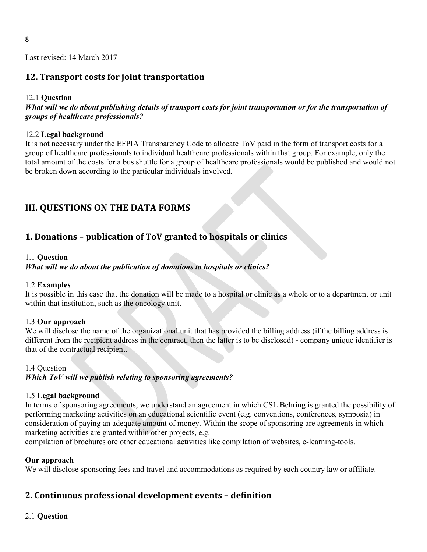## 12. Transport costs for joint transportation

### 12.1 Question

What will we do about publishing details of transport costs for joint transportation or for the transportation of groups of healthcare professionals?

### 12.2 Legal background

It is not necessary under the EFPIA Transparency Code to allocate ToV paid in the form of transport costs for a group of healthcare professionals to individual healthcare professionals within that group. For example, only the total amount of the costs for a bus shuttle for a group of healthcare professionals would be published and would not be broken down according to the particular individuals involved.

# III. QUESTIONS ON THE DATA FORMS

# 1. Donations – publication of ToV granted to hospitals or clinics

### 1.1 Question

### What will we do about the publication of donations to hospitals or clinics?

### 1.2 Examples

It is possible in this case that the donation will be made to a hospital or clinic as a whole or to a department or unit within that institution, such as the oncology unit.

### 1.3 Our approach

We will disclose the name of the organizational unit that has provided the billing address (if the billing address is different from the recipient address in the contract, then the latter is to be disclosed) - company unique identifier is that of the contractual recipient.

### 1.4 Question

### Which ToV will we publish relating to sponsoring agreements?

### 1.5 Legal background

In terms of sponsoring agreements, we understand an agreement in which CSL Behring is granted the possibility of performing marketing activities on an educational scientific event (e.g. conventions, conferences, symposia) in consideration of paying an adequate amount of money. Within the scope of sponsoring are agreements in which marketing activities are granted within other projects, e.g.

compilation of brochures ore other educational activities like compilation of websites, e-learning-tools.

### Our approach

We will disclose sponsoring fees and travel and accommodations as required by each country law or affiliate.

### 2. Continuous professional development events – definition

### 2.1 Question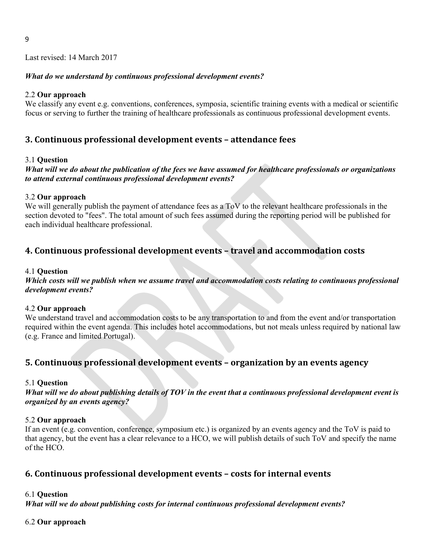### What do we understand by continuous professional development events?

### 2.2 Our approach

We classify any event e.g. conventions, conferences, symposia, scientific training events with a medical or scientific focus or serving to further the training of healthcare professionals as continuous professional development events.

## 3. Continuous professional development events – attendance fees

### 3.1 Question

### What will we do about the publication of the fees we have assumed for healthcare professionals or organizations to attend external continuous professional development events?

### 3.2 Our approach

We will generally publish the payment of attendance fees as a ToV to the relevant healthcare professionals in the section devoted to "fees". The total amount of such fees assumed during the reporting period will be published for each individual healthcare professional.

# 4. Continuous professional development events – travel and accommodation costs

### 4.1 Question

Which costs will we publish when we assume travel and accommodation costs relating to continuous professional development events?

### 4.2 Our approach

We understand travel and accommodation costs to be any transportation to and from the event and/or transportation required within the event agenda. This includes hotel accommodations, but not meals unless required by national law (e.g. France and limited Portugal).

### 5. Continuous professional development events – organization by an events agency

### 5.1 Question

What will we do about publishing details of TOV in the event that a continuous professional development event is organized by an events agency?

### 5.2 Our approach

If an event (e.g. convention, conference, symposium etc.) is organized by an events agency and the ToV is paid to that agency, but the event has a clear relevance to a HCO, we will publish details of such ToV and specify the name of the HCO.

### 6. Continuous professional development events – costs for internal events

### 6.1 Question

What will we do about publishing costs for internal continuous professional development events?

### 6.2 Our approach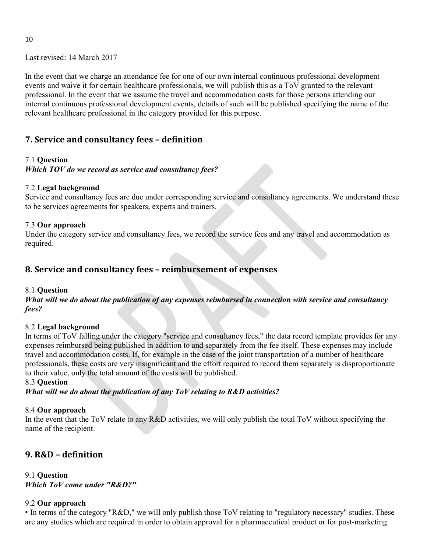In the event that we charge an attendance fee for one of our own internal continuous professional development events and waive it for certain healthcare professionals, we will publish this as a ToV granted to the relevant professional. In the event that we assume the travel and accommodation costs for those persons attending our internal continuous professional development events, details of such will be published specifying the name of the relevant healthcare professional in the category provided for this purpose.

# 7. Service and consultancy fees – definition

### 7.1 Question

Which TOV do we record as service and consultancy fees?

### 7.2 Legal background

Service and consultancy fees are due under corresponding service and consultancy agreements. We understand these to be services agreements for speakers, experts and trainers.

### 7.3 Our approach

Under the category service and consultancy fees, we record the service fees and any travel and accommodation as required.

# 8. Service and consultancy fees – reimbursement of expenses

### 8.1 Question

What will we do about the publication of any expenses reimbursed in connection with service and consultancy fees?

### 8.2 Legal background

In terms of ToV falling under the category "service and consultancy fees," the data record template provides for any expenses reimbursed being published in addition to and separately from the fee itself. These expenses may include travel and accommodation costs. If, for example in the case of the joint transportation of a number of healthcare professionals, these costs are very insignificant and the effort required to record them separately is disproportionate to their value, only the total amount of the costs will be published.

### 8.3 Question

What will we do about the publication of any  $\overline{IoV}$  relating to  $R&D$  activities?

### 8.4 Our approach

In the event that the ToV relate to any R&D activities, we will only publish the total ToV without specifying the name of the recipient.

# 9. R&D – definition

9.1 Question Which ToV come under "R&D?"

### 9.2 Our approach

• In terms of the category "R&D," we will only publish those ToV relating to "regulatory necessary" studies. These are any studies which are required in order to obtain approval for a pharmaceutical product or for post-marketing